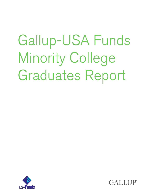# Gallup-USA Funds Minority College Graduates Report



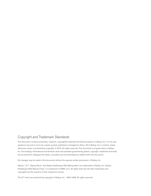### Copyright and Trademark Standards

This document contains proprietary research, copyrighted materials and literary property of Gallup, Inc. It is for your guidance only and is not to be copied, quoted, published or divulged to others. All of Gallup, Inc.'s content, unless otherwise noted, is protected by copyright © 2015. All rights reserved. This document is of great value to Gallup, Inc. Accordingly, international and domestic laws and penalties guaranteeing patent, copyright, trademark and trade secret protection safeguard the ideas, concepts and recommendations related within this document.

No changes may be made to this document without the express written permission of Gallup, Inc.

Gallup®, Q12®, Gallup Panel™ and Gallup-Healthways Well-Being Index® are trademarks of Gallup, Inc. Gallup-Healthways Well-Being 5 View™ is a trademark of WB5, LLC. All rights reserved. All other trademarks and copyrights are the property of their respective owners.

The  $Q^{12}$  items are protected by copyright of Gallup, Inc., 1993-1998. All rights reserved.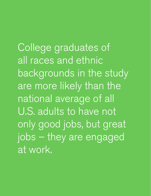College graduates of all races and ethnic backgrounds in the study are more likely than the national average of all U.S. adults to have not only good jobs, but great jobs – they are engaged at work.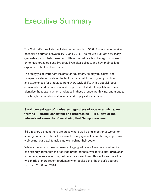### Executive Summary

The Gallup-Purdue Index includes responses from 55,812 adults who received bachelor's degrees between 1940 and 2015. The results illustrate how many graduates, particularly those from different racial or ethnic backgrounds, went on to have great jobs and live great lives after college, and how their college experiences factored into each.

The study yields important insights for educators, employers, alumni and prospective students about the factors that contribute to great jobs, lives and experiences for graduates from every walk of life, with a special focus on minorities and members of underrepresented student populations. It also identifies the areas in which graduates in these groups are thriving, and areas to which higher education institutions need to pay extra attention.

**Small percentages of graduates, regardless of race or ethnicity, are thriving — strong, consistent and progressing — in all five of the interrelated elements of well-being that Gallup measures.** 

Still, in every element there are areas where well-being is better or worse for some groups than others. For example, many graduates are thriving in purpose well-being, but black females lag well behind their peers.

While about one in three or fewer college graduates of any race or ethnicity can strongly agree that their college prepared them well for life after graduation, strong majorities are working full time for an employer. This includes more than two-thirds of more recent graduates who received their bachelor's degrees between 2000 and 2014.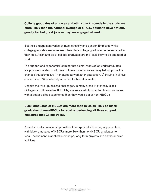**College graduates of all races and ethnic backgrounds in the study are more likely than the national average of all U.S. adults to have not only good jobs, but great jobs — they are engaged at work.**

But their engagement varies by race, ethnicity and gender. Employed white college graduates are more likely than black college graduates to be engaged in their jobs. Asian and black college graduates are the least likely to be engaged at work.

The support and experiential learning that alumni received as undergraduates are positively related to all three of these dimensions and may help improve the chances that alumni are 1) engaged at work after graduation, 2) thriving in all five elements and 3) emotionally attached to their alma mater.

Despite their well-publicized challenges, in many areas, Historically Black Colleges and Universities (HBCUs) are successfully providing black graduates with a better college experience than they would get at non-HBCUs.

**Black graduates of HBCUs are more than twice as likely as black graduates of non-HBCUs to recall experiencing all three support measures that Gallup tracks.** 

A similar positive relationship exists within experiential learning opportunities, with black graduates of HBCUs more likely than non-HBCU graduates to recall involvement in applied internships, long-term projects and extracurricular activities.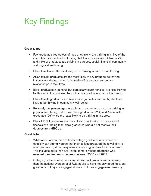# Key Findings

### **Great Lives**

- Few graduates, regardless of race or ethnicity, are thriving in all five of the interrelated elements of well-being that Gallup measures. Between 7% and 11% of graduates are thriving in purpose, social, financial, community and physical well-being.
- Black females are the least likely to be thriving in purpose well-being.
- Asian female graduates are the most likely of any group to be thriving in social well-being, which is indicative of strong and supportive relationships in their lives.
- Black graduates in general, but particularly black females, are less likely to be thriving in financial well-being than are graduates in any other group.
- Black female graduates and Asian male graduates are notably the least likely to be thriving in community well-being.
- Relatively low percentages in each racial and ethnic group are thriving in physical well-being, but female black graduates (27%) and Asian male graduates (26%) are the least likely to be thriving in this area.
- Black HBCU graduates are more likely to be thriving in purpose and financial well-being than black graduates who did not receive their degrees from HBCUs.

#### **Great Jobs**

- While about one in three or fewer college graduates of any race or ethnicity can strongly agree that their college prepared them well for life after graduation, strong majorities are working full time for an employer. This includes more than two-thirds of more recent graduates who received their bachelor's degrees between 2000 and 2014.
- College graduates of all races and ethnic backgrounds are more likely than the national average of all U.S. adults to have not only good jobs, but great jobs — they are engaged at work. But their engagement varies by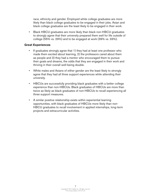race, ethnicity and gender. Employed white college graduates are more likely than black college graduates to be engaged in their jobs. Asian and black college graduates are the least likely to be engaged in their work.

• Black HBCU graduates are more likely than black non-HBCU graduates to strongly agree that their university prepared them well for life outside of college (55% vs. 29%) and to be engaged at work (39% vs. 33%).

### **Great Experiences**

- If graduates strongly agree that 1) they had at least one professor who made them excited about learning, 2) the professors cared about them as people and 3) they had a mentor who encouraged them to pursue their goals and dreams, the odds that they are engaged in their work and thriving in their overall well-being double.
- White males and Asians of either gender are the least likely to strongly agree that they had all three support experiences while attending their university.
- HBCUs are successfully providing black graduates with a better college experience than non-HBCUs. Black graduates of HBCUs are more than twice as likely as black graduates of non-HBCUs to recall experiencing all three support measures.
- A similar positive relationship exists within experiential learning opportunities, with black graduates of HBCUs more likely than non-HBCU graduates to recall involvement in applied internships, long-term projects and extracurricular activities.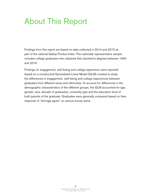### About This Report

Findings from this report are based on data collected in 2014 and 2015 as part of the national Gallup-Purdue Index. This nationally representative sample includes college graduates who obtained their bachelor's degrees between 1940 and 2015.

Findings on engagement, well-being and college experience were reported based on a constructed Generalized Linear Model (GLM) created to study the differences in engagement, well-being and college experiences between graduates from different races and ethnicities. To account for differences in the demographic characteristics of the different groups, the GLM accounted for age, gender, race, decade of graduation, university type and the education level of both parents of the graduate. Graduates were generally compared based on their response of "strongly agree" on various survey items.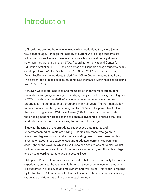### Introduction

U.S. colleges are not the overwhelmingly white institutions they were just a few decades ago. Although the majority of current U.S. college students are still white, universities are considerably more ethnically and racially diverse now than they were in the late 1970s. According to the National Center for Education Statistics (NCES), the percentage of Hispanic college students nearly quadrupled from 4% to 15% between 1976 and 2012, and the percentage of Asian/Pacific Islander students tripled from 2% to 6% in the same time frame. The percentage of black college students also increased within that period, rising from 10% to 15%.

However, while more minorities and members of underrepresented student populations are going to college these days, many are not finishing their degrees. NCES data show about 40% of all students who begin four-year degree programs fail to complete those programs within six years. The non-completion rates are considerably higher among blacks (59%) and Hispanics (47%) than they are among whites (37%) and Asians (29%). These gaps demonstrate the ongoing need for organizations to continue investing in initiatives that help students clear the hurdles necessary to complete their degrees.

Studying the types of undergraduate experiences that minority and underrepresented students are having — particularly those who go on to finish their degrees — is crucial to understanding how to clear these hurdles. Information about these experiences and graduates' current lives can help shed light on the ways by which USA Funds can achieve one of its main goals: building a more purposeful path for America's students to, and through, college and on to rewarding careers and successful lives.

Gallup and Purdue University created an index that examines not only the college experience, but also the relationship between those experiences and students' life outcomes in areas such as employment and well-being. This report, prepared by Gallup for USA Funds, uses that index to examine these relationships among graduates of different racial and ethnic backgrounds.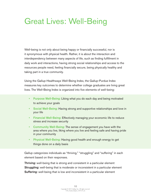### Great Lives: Well-Being

Well-being is not only about being happy or financially successful, nor is it synonymous with physical health. Rather, it is about the interaction and interdependency between many aspects of life, such as finding fulfillment in daily work and interactions, having strong social relationships and access to the resources people need, feeling financially secure, being physically healthy and taking part in a true community.

Using the Gallup-Healthways Well-Being Index, the Gallup-Purdue Index measures key outcomes to determine whether college graduates are living great lives. The Well-Being Index is organized into five elements of well-being:

- Purpose Well-Being: Liking what you do each day and being motivated to achieve your goals
- Social Well-Being: Having strong and supportive relationships and love in your life
- Financial Well-Being: Effectively managing your economic life to reduce stress and increase security
- Community Well-Being: The sense of engagement you have with the area where you live, liking where you live and feeling safe and having pride in your community
- Physical Well-Being: Having good health and enough energy to get things done on a daily basis

Gallup categorizes individuals as "thriving," "struggling" and "suffering" in each element based on their responses.

Thriving: well-being that is strong and consistent in a particular element **Struggling:** well-being that is moderate or inconsistent in a particular element **Suffering:** well-being that is low and inconsistent in a particular element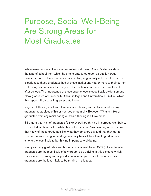### Purpose, Social Well-Being Are Strong Areas for Most Graduates

While many factors influence a graduate's well-being, Gallup's studies show the type of school from which he or she graduated (such as public versus private or more selective versus less selective) is generally not one of them. The experiences these graduates had at these institutions matter more to their current well-being, as does whether they feel their schools prepared them well for life after college. The importance of these experiences is specifically evident among black graduates of Historically Black Colleges and Universities (HBCUs), which this report will discuss in greater detail later.

In general, thriving in all five elements is a relatively rare achievement for any graduate, regardless of his or her race or ethnicity. Between 7% and 11% of graduates from any racial background are thriving in all five areas.

Still, more than half of graduates (53%) overall are thriving in purpose well-being. This includes about half of white, black, Hispanic or Asian alumni, which means that many of these graduates like what they do every day and that they get to learn or do something interesting on a daily basis. Black female graduates are among the least likely to be thriving in purpose well-being.

Nearly as many graduates are thriving in social well-being (50%). Asian female graduates are the most likely of any group to be thriving in this element, which is indicative of strong and supportive relationships in their lives. Asian male graduates are the least likely to be thriving in this area.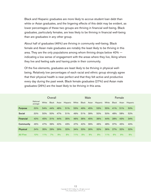Black and Hispanic graduates are more likely to accrue student loan debt than white or Asian graduates, and the lingering effects of this debt may be evident, as lower percentages of these two groups are thriving in financial well-being. Black graduates, particularly females, are less likely to be thriving in financial well-being than are graduates in any other group.

About half of graduates (46%) are thriving in community well-being. Black female and Asian male graduates are notably the least likely to be thriving in this area. They are the only populations among whom thriving drops below 40% indicating a low sense of engagement with the areas where they live, liking where they live and feeling safe and having pride in their community.

Of the five elements, graduates are least likely to be thriving in physical wellbeing. Relatively low percentages of each racial and ethnic group strongly agree that their physical health is near perfect and that they felt active and productive every day during the past week. Black female graduates (27%) and Asian male graduates (26%) are the least likely to be thriving in this area.

|                  | Overall                    |       |              |       | Male     |       |              |       | Female   |       |              |       |                 |
|------------------|----------------------------|-------|--------------|-------|----------|-------|--------------|-------|----------|-------|--------------|-------|-----------------|
|                  | <b>National</b><br>average | White | <b>Black</b> | Asian | Hispanic | White | <b>Black</b> | Asian | Hispanic | White | <b>Black</b> | Asian | <b>Hispanic</b> |
| <b>Purpose</b>   | 53%                        | 54%   | 44%          | 48%   | 51%      | 53%   | 49%          | 45%   | 53%      | 55%   | 41%          | 51%   | 50%             |
| <b>Social</b>    | 50%                        | 50%   | 50%          | 47%   | 51%      | 49%   | 51%          | 39%   | 50%      | 50%   | 48%          | 58%   | 52%             |
| <b>Financial</b> | 43%                        | 45%   | 31%          | 44%   | 35%      | 46%   | 36%          | 45%   | 36%      | 44%   | 28%          | 43%   | 34%             |
| Community        | 46%                        | 47%   | 39%          | 42%   | 43%      | 47%   | 42%          | 39%   | 46%      | 48%   | 37%          | 45%   | 40%             |
| <b>Physical</b>  | 34%                        | 35%   | 29%          | 29%   | 32%      | 34%   | 33%          | 26%   | 32%      | 36%   | 27%          | 32%   | 32%             |
| <b>All Five</b>  | 10%                        | 11%   | 7%           | 9%    | 8%       | 11%   | 8%           | 9%    | 8%       | 11%   | 6%           | 9%    | 9%              |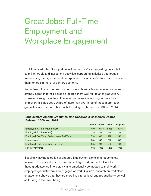# Great Jobs: Full-Time Employment and Workplace Engagement

USA Funds adopted "Completion With a Purpose" as the guiding principle for its philanthropic and investment activities, supporting initiatives that focus on transforming the higher education experience for America's students to prepare them for jobs in the 21st century economy.

Regardless of race or ethnicity, about one in three or fewer college graduates strongly agree that their college prepared them well for life after graduation. However, strong majorities of college graduates are working full time for an employer; this includes upward of more than two-thirds of those more recent graduates who received their bachelor's degrees between 2000 and 2014.

|                                           | White | <b>Black</b> | Asian | <b>Hispanic</b> |
|-------------------------------------------|-------|--------------|-------|-----------------|
| Employed Full Time (Employer)             | 71%   | <b>70%</b>   | 68%   | 73%             |
| Employed Full Time (Self)                 | 3%    | 3%           | 4%    | 3%              |
| Employed Part Time, Do Not Want Full Time | $7\%$ | 4%           | 4%    | 5%              |
| Unemployed                                | 3%    | 5%           | 3%    | 5%              |
| <b>Employed Part Time, Want Full Time</b> | 6%    | 9%           | 9%    | 6%              |
| Not in Workforce                          | 9%    | 8%           | 12%   | 8%              |

#### Employment Among Graduates Who Received a Bachelor's Degree Between 2000 and 2014

But simply having a job is not enough. Employment alone is not a complete measure of success because employment figures do not reflect whether these graduates are intellectually and emotionally connected to their work. If employed graduates are also engaged at work, Gallup's research on workplace engagement shows that they are more likely to be loyal and productive — as well as thriving in their well-being.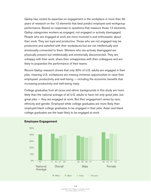Gallup has rooted its expertise on engagement in the workplace in more than 30 years of research on the 12 elements that best predict employee and workgroup performance. Based on responses to questions that measure those 12 elements, Gallup categorizes workers as engaged, not engaged or actively disengaged. People who are engaged at work are more involved in and enthusiastic about their work. They are loyal and productive. Those who are not engaged may be productive and satisfied with their workplaces but are not intellectually and emotionally connected to them. Workers who are actively disengaged are physically present but intellectually and emotionally disconnected. They are unhappy with their work, share their unhappiness with their colleagues and are likely to jeopardize the performance of their teams.

Recent Gallup research shows that only 30% of U.S. adults are engaged in their jobs, meaning U.S. workplaces are missing immense opportunities to raise their employees' productivity and well-being — including the economic benefits that increasing productivity and well-being imply.

College graduates from all races and ethnic backgrounds in this study are more likely than the national average of all U.S. adults to have not only good jobs, but great jobs — they are engaged at work. But their engagement varies by race, ethnicity and gender. Employed white college graduates are more likely than employed black college graduates to be engaged in their jobs. Asian and black college graduates are the least likely to be engaged at work.



#### **Employee Engagement**

Copyright © 2015 Gallup, Inc. All rights reserved. USA\_Funds\_Report\_1015v15\_h 14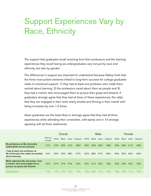### Support Experiences Vary by Race, Ethnicity

The support that graduates recall receiving from their professors and the learning experiences they recall having as undergraduates vary not just by race and ethnicity, but also by gender.

The differences in support are important to understand because Gallup finds that the three most potent elements linked to long-term success for college graduates relate to emotional support: 1) they had at least one professor who made them excited about learning, 2) the professors cared about them as people and 3) they had a mentor who encouraged them to pursue their goals and dreams. If graduates strongly agree that they had all three of these experiences, the odds that they are engaged in their work nearly double and thriving in their overall wellbeing increases by over 1.5 times.

Asian graduates are the least likely to strongly agree that they had all three experiences while attending their universities, with barely one in 10 strongly agreeing with all three statements.

|                                                                                                      | Overall                    |       |              |       | Male     |       |              |       | Female   |       |       |       |                 |
|------------------------------------------------------------------------------------------------------|----------------------------|-------|--------------|-------|----------|-------|--------------|-------|----------|-------|-------|-------|-----------------|
|                                                                                                      | <b>National</b><br>average | White | <b>Black</b> | Asian | Hispanic | White | <b>Black</b> | Asian | Hispanic | White | Black | Asian | <b>Hispanic</b> |
| My professors at My University<br>cared about me as a person.                                        | 27%                        | 27%   | 32%          | 21%   | 28%      | 25%   | 36%          | 20%   | 28%      | 29%   | 29%   | 21%   | 28%             |
| I had at least one professor at<br>My University who made me excited<br>about learning.              | 64%                        | 63%   | 64%          | 58%   | 67%      | 62%   | 68%          | 57%   | 65%      | 65%   | 62%   | 60%   | 69%             |
| While attending My University, I had<br>a mentor who encouraged me to<br>pursue my goals and dreams. | 22%                        | 21%   | 27%          | 21%   | 24%      | 20%   | 31%          | 20%   | 23%      | 23%   | 24%   | 22%   | 25%             |
| <b>Felt Support</b>                                                                                  | 14%                        | l 4%  | 17%          | 11%   | 15%      | 12%   | <b>20%</b>   | 11%   | 15%      | 16%   | 15%   | 11%   | 15%             |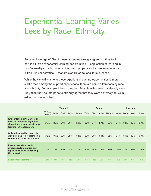### Experiential Learning Varies Less by Race, Ethnicity

An overall average of 6% of these graduates strongly agree that they took part in all three experiential learning opportunities — application of learning in jobs/internships, participation in long-term projects and active involvement in extracurricular activities — that are also linked to long-term success.

While the variability among these experiential learning opportunities is more subtle than among the support experiences, there are some differences by race and ethnicity. For example, black males and Asian females are considerably more likely than their counterparts to strongly agree that they were extremely active in extracurricular activities.

|                                                                                                                                          | Overall                    |       |              |       | Male            |       |              |       | Female   |       |              |       |                 |
|------------------------------------------------------------------------------------------------------------------------------------------|----------------------------|-------|--------------|-------|-----------------|-------|--------------|-------|----------|-------|--------------|-------|-----------------|
|                                                                                                                                          | <b>National</b><br>average | White | <b>Black</b> | Asian | <b>Hispanic</b> | White | <b>Black</b> | Asian | Hispanic | White | <b>Black</b> | Asian | <b>Hispanic</b> |
| <b>While attending My University,</b><br>I had an internship or job that<br>allowed me to apply what I was<br>learning in the classroom. | 30%                        | 29%   | 34%          | 29%   | 29%             | 27%   | 34%          | 27%   | 28%      | 31%   | 34%          | 32%   | 30%             |
| While attending My University, I<br>worked on a project that took a<br>semester or more to complete.                                     | 32%                        | 31%   | 32%          | 32%   | 34%             | 32%   | 33%          | 34%   | 35%      | 31%   | 31%          | 30%   | 33%             |
| I was extremely active in<br>extracurricular activities and<br>organizations while attending<br>My University.                           | 20%                        | 19%   | 24%          | 25%   | 20%             | 20%   | 30%          | 23%   | 21%      | 18%   | 21%          | 29%   | 19%             |
| <b>Experiential Learning</b>                                                                                                             | 6%                         | 6%    | 8%           | 8%    | 7%              | 6%    | 8%           | 9%    | 8%       | $6\%$ | 8%           | 6%    | 7%              |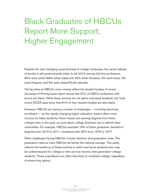### Black Graduates of HBCUs Report More Support, Higher Engagement

Despite the ever-changing racial diversity of college campuses, the racial makeup of faculty is still predominantly white. In fall 2013, among full-time professors, 84% were white (58% white males and 26% white females), 4% were black, 3% were Hispanic and 9% were Asian/Pacific Islander.

The faculties at HBCUs more closely reflect the student bodies. A recent University of Pennsylvania report shows that 57% of HBCU professors with tenure are black. While these schools do not admit only black students, the most recent NCES data show that 81% of their student bodies are also black.

However, HBCUs are facing a number of challenges — including declining enrollment — as the rapidly changing higher education market offers more choices for black students. Fewer blacks are earning degrees from these colleges than in the past, as more black college freshmen opt to attend other universities. For example, HBCUs awarded 16% of black graduates' bachelor's degrees from 2010 to 2011, compared with 35% from 1976 to 1977.

Other challenges facing HBCUs include retention and graduation rates. The graduation rates at many HBCUs fall below the national average. This partly reflects the tendency of these schools to admit and serve students who may be underprepared for college or who are low-income, first-generation college students. These populations are often less likely to complete college, regardless of where they attend.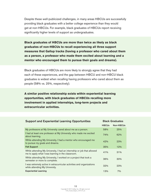Despite these well-publicized challenges, in many areas HBCUs are successfully providing black graduates with a better college experience than they would get at non-HBCUs. For example, black graduates of HBCUs report receiving significantly higher levels of support as undergraduates.

**Black graduates of HBCUs are more than twice as likely as black graduates of non-HBCUs to recall experiencing all three support measures that Gallup tracks (having a professor who cared about them as a person, a professor who made them excited about learning and a mentor who encouraged them to pursue their goals and dreams).** 

Black graduates of HBCUs are more likely to strongly agree that they had each of these experiences, and the gap between HBCU and non-HBCU black graduates is widest when recalling having professors who cared about them as people (58% vs. 25%, respectively).

**A similar positive relationship exists within experiential learning opportunities, with black graduates of HBCUs recalling more involvement in applied internships, long-term projects and extracurricular activities.**

| <b>Support and Experiential Learning Opportunities</b>                                                                      | <b>Black Graduates</b> |           |  |  |
|-----------------------------------------------------------------------------------------------------------------------------|------------------------|-----------|--|--|
|                                                                                                                             | <b>HBCUs</b>           | Non-HBCUs |  |  |
| My professors at My University cared about me as a person.                                                                  | 58%                    | 25%       |  |  |
| I had at least one professor at My University who made me excited<br>about learning.                                        | 74%                    | 62%       |  |  |
| While attending My University, I had a mentor who encouraged me<br>to pursue my goals and dreams.                           | 42%                    | 23%       |  |  |
| <b>Felt Support</b>                                                                                                         | 35%                    | 12%       |  |  |
| While attending My University, I had an internship or job that allowed<br>me to apply what I was learning in the classroom. | 41%                    | 31%       |  |  |
| While attending My University, I worked on a project that took a<br>semester or more to complete.                           | 36%                    | 30%       |  |  |
| I was extremely active in extracurricular activities and organizations<br>while attending My University.                    | 32%                    | 23%       |  |  |
| <b>Experiential Learning</b>                                                                                                | 13%                    | 7%        |  |  |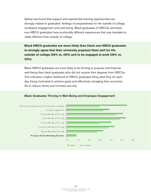Gallup has found that support and experiential learning opportunities are strongly related to graduates' feelings of preparedness for life outside of college, workplace engagement and well-being. Black graduates of HBCUs and black non-HBCU graduates have profoundly different experiences that may translate to vastly different lives outside of college.

**Black HBCU graduates are more likely than black non-HBCU graduates to strongly agree that their university prepared them well for life outside of college (55% vs. 29%) and to be engaged at work (39% vs. 33%).** 

Black HBCU graduates are more likely to be thriving in purpose and financial well-being than black graduates who did not receive their degrees from HBCUs. This indicates a higher likelihood of HBCU graduates liking what they do each day, being motivated to achieve goals and effectively managing their economic life to reduce stress and increase security.



#### Black Graduates Thriving in Well-Being and Employee Engagement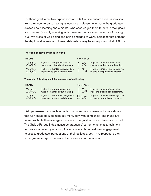For these graduates, two experiences at HBCUs differentiate such universities from their counterparts: having at least one professor who made the graduates excited about learning and a mentor who encouraged them to pursue their goals and dreams. Strongly agreeing with these two items raises the odds of thriving in all five areas of well-being and being engaged at work, indicating that perhaps the depth and influence of these relationships may be more profound at HBCUs.

#### The odds of being engaged in work:



 $2.9x$  Higher if ... one professor who<br>made me excited about learning Higher if ... one professor who  $\sim$  1.6 $\times$  Higher if ... one professor who made me excited about learning.  $2.0x$  Higher if ... mentor encouraged me<br>to pursue my goals and dreams. Higher if ... mentor encouraged me  $\frac{1}{1}$   $\frac{7}{1}$  Higher if ... mentor encouraged me to pursue my goals and dreams.

#### **HBCUs** Non-HBCUs



made me excited about learning.

The odds of thriving in all five elements of well-being:



 $2.4x$  Higher if ... one professor who<br>made me excited about learning Higher if ... one professor who  $\overline{\phantom{a}}$   $\overline{\phantom{a}}$   $\overline{\phantom{a}}$   $\overline{\phantom{a}}$  Higher if ... one professor who made me excited about learning.

 $3.0x$  Higher if ... mentor encouraged me<br>to pursue my goals and dreams.

#### **HBCUs** Non-HBCUs



made me excited about learning.

Higher if ... mentor encouraged me  $2.0x$  Higher if ... mentor encouraged me<br>to pursue my goals and dreams.  $2.0x$  to pursue my goals and dreams.

Gallup's research across hundreds of organizations in many industries shows that fully engaged customers buy more, stay with companies longer and are more profitable than average customers — in good economic times and in bad. The Gallup-Purdue Index measures graduates' current emotional attachment to their alma mater by adapting Gallup's research on customer engagement to assess graduates' perceptions of their colleges, both in retrospect to their undergraduate experiences and their views as current alumni.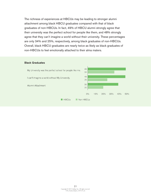The richness of experiences at HBCUs may be leading to stronger alumni attachment among black HBCU graduates compared with that of black graduates of non-HBCUs. In fact, 49% of HBCU alumni strongly agree that their university was the perfect school for people like them, and 48% strongly agree that they can't imagine a world without their university. These percentages are only 34% and 25%, respectively, among black graduates of non-HBCUs. Overall, black HBCU graduates are nearly twice as likely as black graduates of non-HBCUs to feel emotionally attached to their alma maters.

#### Black Graduates

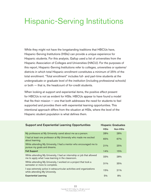### Hispanic-Serving Institutions

While they might not have the longstanding traditions that HBCUs have, Hispanic-Serving Institutions (HSIs) can provide a unique experience for Hispanic students. For this analysis, Gallup used a list of universities from the Hispanic Association of Colleges and Universities (HACU). For the purposes of this report, Hispanic-Serving Institutions refer to colleges, universities or systems/ districts in which total Hispanic enrollment constitutes a minimum of 25% of the total enrollment. "Total enrollment" includes full- and part-time students at the undergraduate or graduate level of the institution (including professional schools) or both — that is, the headcount of for-credit students.

When looking at support and experiential items, the positive effect present for HBCUs is not as evident for HSIs. HBCUs appear to have found a model that fits their mission — one that both addresses the need for students to feel supported and provides them with experiential learning opportunities. This intentional approach differs from the situation at HSIs, where the level of the Hispanic student population is what defines them.

| <b>Support and Experiential Learning Opportunities</b>                                                                      | <b>Hispanic Graduates</b> |          |  |  |
|-----------------------------------------------------------------------------------------------------------------------------|---------------------------|----------|--|--|
|                                                                                                                             | <b>HSIs</b>               | Non-HSIs |  |  |
| My professors at My University cared about me as a person.                                                                  | 28%                       | 28%      |  |  |
| I had at least one professor at My University who made me excited<br>about learning.                                        | 65%                       | 67%      |  |  |
| While attending My University, I had a mentor who encouraged me to<br>pursue my goals and dreams.                           | 21%                       | 25%      |  |  |
| <b>Felt Support</b>                                                                                                         | 14%                       | 15%      |  |  |
| While attending My University, I had an internship or job that allowed<br>me to apply what I was learning in the classroom. | 33%                       | 28%      |  |  |
| While attending My University, I worked on a project that took a<br>semester or more to complete.                           | 31%                       | 35%      |  |  |
| I was extremely active in extracurricular activities and organizations<br>while attending My University.                    | 15%                       | 21%      |  |  |
| <b>Experiential Learning</b>                                                                                                | 5%                        | 8%       |  |  |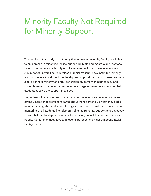### Minority Faculty Not Required for Minority Support

The results of this study do not imply that increasing minority faculty would lead to an increase in minorities feeling supported. Matching mentors and mentees based upon race and ethnicity is not a requirement of successful mentorship. A number of universities, regardless of racial makeup, have instituted minority and first-generation student mentorship and support programs. These programs aim to connect minority and first-generation students with staff, faculty and upperclassmen in an effort to improve the college experience and ensure that students receive the support they need.

Regardless of race or ethnicity, at most about one in three college graduates strongly agree that professors cared about them personally or that they had a mentor. Faculty, staff and students, regardless of race, must learn that effective mentoring of all students includes providing instrumental support and advocacy — and that mentorship is not an institution purely meant to address emotional needs. Mentorship must have a functional purpose and must transcend racial backgrounds.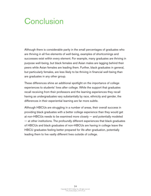### **Conclusion**

Although there is considerable parity in the small percentages of graduates who are thriving in all five elements of well-being, examples of shortcomings and successes exist within every element. For example, many graduates are thriving in purpose well-being, but black females and Asian males are lagging behind their peers while Asian females are leading them. Further, black graduates in general, but particularly females, are less likely to be thriving in financial well-being than are graduates in any other group.

These differences shine an additional spotlight on the importance of college experiences to students' lives after college. While the support that graduates recall receiving from their professors and the learning experiences they recall having as undergraduates vary substantially by race, ethnicity and gender, the differences in their experiential learning are far more subtle.

Although HBCUs are struggling in a number of areas, their overall success in providing black graduates with a better college experience than they would get at non-HBCUs needs to be examined more closely — and potentially modeled — at other institutions. The profoundly different experiences that black graduates of HBCUs and black graduates of non-HBCUs are having in college leave the HBCU graduates feeling better prepared for life after graduation, potentially leading them to live vastly different lives outside of college.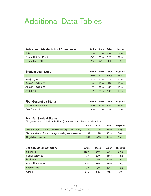### Additional Data Tables

| <b>Public and Private School Attendance</b> | White |             | <b>Black</b> Asian | <b>Hispanic</b> |
|---------------------------------------------|-------|-------------|--------------------|-----------------|
| <b>Public</b>                               |       | 64% 61%     | 66%                | 68%             |
| Private Not-For-Profit                      |       | 34% 33% 32% |                    | 27%             |
| <b>Private For-Profit</b>                   | 2%    | $5\%$       | 10 <sub>0</sub>    | 4%              |

| <b>Student Loan Debt</b> | White | <b>Black</b> | Asian | <b>Hispanic</b> |
|--------------------------|-------|--------------|-------|-----------------|
| \$0                      | 58%   | 32%          | 59%   | 38%             |
| $$1 - $10,000$           | 8%    | 10%          | 5%    | 11%             |
| $$10,001 - $20,000$      | 9%    | 13%          | 7%    | 16%             |
| $$20,001 - $40,000$      | 15%   | 22%          | 18%   | 19%             |
| $$40,001+$               | 10%   | 23%          | 10%   | 15%             |

| <b>First Generation Status</b> |             | White Black Asian Hispanic |
|--------------------------------|-------------|----------------------------|
| <b>Not First Generation</b>    | 54% 43% 68% | 44%                        |
| <b>First Generation</b>        | 46% 57% 32% | 56%                        |

#### Transfer Student Status

Did you transfer to (University Name) from another college or university?

|                                                         | White | <b>Black</b>    | Asian | <b>Hispanic</b> |
|---------------------------------------------------------|-------|-----------------|-------|-----------------|
| Yes, transferred from a four-year college or university | 17%   | 17 <sub>%</sub> | 10%   | 12%             |
| Yes, transferred from a two-year college or university  | 19%   | 19%             | 17%   | 29%             |
| No, did not transfer                                    | 64%   | 63%             | 73%   | 59%             |

| <b>College Major Category</b> | White | <b>Black</b> | Asian | Hispanic |
|-------------------------------|-------|--------------|-------|----------|
| <b>Sciences</b>               | 26%   | 24%          | 27%   | 27%      |
| Social Sciences               | 17%   | 20%          | 18%   | 18%      |
| <b>Business</b>               | 12%   | 16%          | 10%   | 13%      |
| Arts & Humanities             | 22%   | 23%          | 18%   | 24%      |
| Engineering                   | 17%   | 12%          | 17%   | 13%      |
| Others                        | 5%    | 5%           | 9%    | 5%       |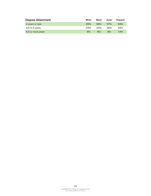| <b>Degree Attainment</b> | White | <b>Black</b> | Asian | <b>Hispanic</b> |
|--------------------------|-------|--------------|-------|-----------------|
| 4 years or less          | 69%   | 66%          | 67%   | 63%             |
| 4.5 to 5 years           | 22%   | 24%          | 25%   | 23%             |
| 5.5 or more years        | 9%    | 9%           | 8%    | 13%             |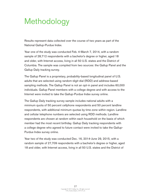### Methodology

Results represent data collected over the course of two years as part of the National Gallup-Purdue Index.

Year one of the study was conducted Feb. 4-March 7, 2014, with a random sample of 28,712 respondents with a bachelor's degree or higher, aged 18 and older, with Internet access, living in all 50 U.S. states and the District of Columbia. The sample was compiled from two sources: the Gallup Panel and the Gallup Daily tracking survey.

The Gallup Panel is a proprietary, probability-based longitudinal panel of U.S. adults that are selected using random-digit-dial (RDD) and address-based sampling methods. The Gallup Panel is not an opt-in panel and includes 60,000 individuals. Gallup Panel members with a college degree and with access to the Internet were invited to take the Gallup-Purdue Index survey online.

The Gallup Daily tracking survey sample includes national adults with a minimum quota of 50 percent cellphone respondents and 50 percent landline respondents, with additional minimum quotas by time zone within region. Landline and cellular telephone numbers are selected using RDD methods. Landline respondents are chosen at random within each household on the basis of which member had the most recent birthday. Gallup Daily tracking respondents with a college degree who agreed to future contact were invited to take the Gallup-Purdue Index survey online.

Year two of the study was conducted Dec. 16, 2014-June 29, 2015, with a random sample of 27,709 respondents with a bachelor's degree or higher, aged 18 and older, with Internet access, living in all 50 U.S. states and the District of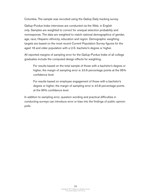Columbia. The sample was recruited using the Gallup Daily tracking survey.

Gallup-Purdue Index interviews are conducted via the Web, in English only. Samples are weighted to correct for unequal selection probability and nonresponse. The data are weighted to match national demographics of gender, age, race, Hispanic ethnicity, education and region. Demographic weighting targets are based on the most recent Current Population Survey figures for the aged 18 and older population with a U.S. bachelor's degree or higher.

All reported margins of sampling error for the Gallup-Purdue Index of all college graduates include the computed design effects for weighting.

For results based on the total sample of those with a bachelor's degree or higher, the margin of sampling error is  $\pm 0.6$  percentage points at the 95% confidence level.

For results based on employee engagement of those with a bachelor's degree or higher, the margin of sampling error is ±0.8 percentage points at the 95% confidence level.

In addition to sampling error, question wording and practical difficulties in conducting surveys can introduce error or bias into the findings of public opinion polls.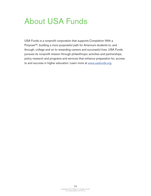### About USA Funds

USA Funds is a nonprofit corporation that supports Completion With a Purpose<sup>SM</sup>, building a more purposeful path for America's students to, and through, college and on to rewarding careers and successful lives. USA Funds pursues its nonprofit mission through philanthropic activities and partnerships, policy research and programs and services that enhance preparation for, access to and success in higher education. Learn more at www.usafunds.org.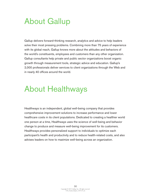### About Gallup

Gallup delivers forward-thinking research, analytics and advice to help leaders solve their most pressing problems. Combining more than 75 years of experience with its global reach, Gallup knows more about the attitudes and behaviors of the world's constituents, employees and customers than any other organization. Gallup consultants help private and public sector organizations boost organic growth through measurement tools, strategic advice and education. Gallup's 2,000 professionals deliver services to client organizations through the Web and in nearly 40 offices around the world.

### About Healthways

Healthways is an independent, global well-being company that provides comprehensive improvement solutions to increase performance and lower healthcare costs in its client populations. Dedicated to creating a healthier world one person at a time, Healthways uses the science of well-being and behavior change to produce and measure well-being improvement for its customers. Healthways provides personalized support to individuals to optimize each participant's health and productivity and to reduce health-related costs, and also advises leaders on how to maximize well-being across an organization.